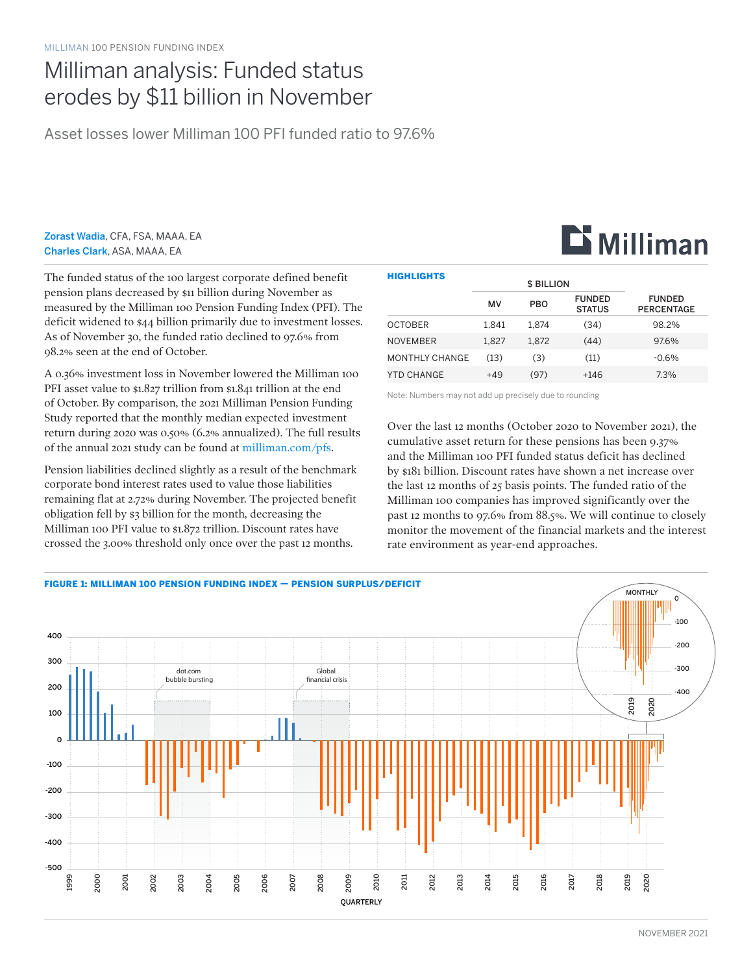## Milliman analysis: Funded status erodes by \$11 billion in November

Asset losses lower Milliman 100 PFI funded ratio to 97.6%

Zorast Wadia, CFA, FSA, MAAA, EA Charles Clark, ASA, MAAA, EA

The funded status of the 100 largest corporate defined benefit pension plans decreased by \$11 billion during November as measured by the Milliman 100 Pension Funding Index (PFI). The deficit widened to \$44 billion primarily due to investment losses. As of November 30, the funded ratio declined to 97.6% from 98.2% seen at the end of October.

A 0.36% investment loss in November lowered the Milliman 100 PFI asset value to \$1.827 trillion from \$1.841 trillion at the end of October. By comparison, the 2021 Milliman Pension Funding Study reported that the monthly median expected investment return during 2020 was 0.50% (6.2% annualized). The full results of the annual 2021 study can be found at [milliman.com/pfs](http://milliman.com/pfs).

Pension liabilities declined slightly as a result of the benchmark corporate bond interest rates used to value those liabilities remaining flat at 2.72% during November. The projected benefit obligation fell by \$3 billion for the month, decreasing the Milliman 100 PFI value to \$1.872 trillion. Discount rates have crossed the 3.00% threshold only once over the past 12 months.

| <b>HIGHLIGHTS</b> |                   |            |                                |                                    |
|-------------------|-------------------|------------|--------------------------------|------------------------------------|
|                   | <b>\$ BILLION</b> |            |                                |                                    |
|                   | MV                | <b>PBO</b> | <b>FUNDED</b><br><b>STATUS</b> | <b>FUNDED</b><br><b>PERCENTAGE</b> |
| <b>OCTOBER</b>    | 1.841             | 1.874      | (34)                           | 98.2%                              |
| <b>NOVEMBER</b>   | 1.827             | 1.872      | (44)                           | 97.6%                              |
| MONTHLY CHANGE    | (13)              | (3)        | (11)                           | $-0.6%$                            |
| YTD CHANGE        | $+49$             | (97)       | +146                           | 7.3%                               |

Note: Numbers may not add up precisely due to rounding

Over the last 12 months (October 2020 to November 2021), the cumulative asset return for these pensions has been 9.37% and the Milliman 100 PFI funded status deficit has declined by \$181 billion. Discount rates have shown a net increase over the last 12 months of 25 basis points. The funded ratio of the Milliman 100 companies has improved significantly over the past 12 months to 97.6% from 88.5%. We will continue to closely monitor the movement of the financial markets and the interest rate environment as year-end approaches.



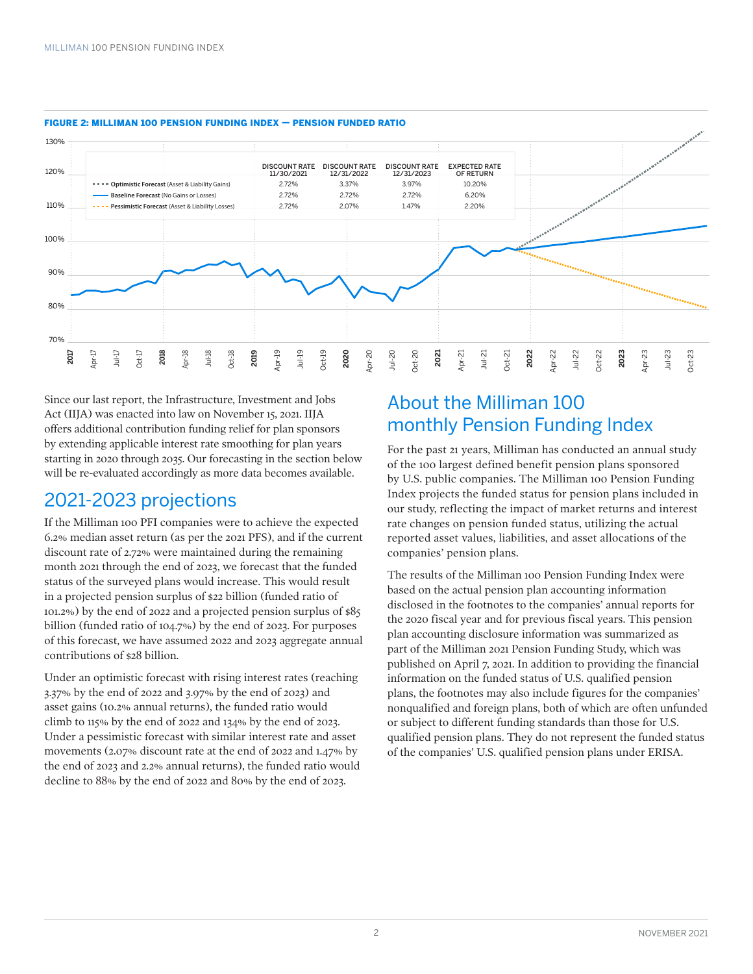

#### FIGURE 2: MILLIMAN 100 PENSION FUNDING INDEX — PENSION FUNDED RATIO

Since our last report, the Infrastructure, Investment and Jobs Act (IIJA) was enacted into law on November 15, 2021. IIJA offers additional contribution funding relief for plan sponsors by extending applicable interest rate smoothing for plan years starting in 2020 through 2035. Our forecasting in the section below will be re-evaluated accordingly as more data becomes available.

### 2021-2023 projections

If the Milliman 100 PFI companies were to achieve the expected 6.2% median asset return (as per the 2021 PFS), and if the current discount rate of 2.72% were maintained during the remaining month 2021 through the end of 2023, we forecast that the funded status of the surveyed plans would increase. This would result in a projected pension surplus of \$22 billion (funded ratio of 101.2%) by the end of 2022 and a projected pension surplus of \$85 billion (funded ratio of 104.7%) by the end of 2023. For purposes of this forecast, we have assumed 2022 and 2023 aggregate annual contributions of \$28 billion.

Under an optimistic forecast with rising interest rates (reaching 3.37% by the end of 2022 and 3.97% by the end of 2023) and asset gains (10.2% annual returns), the funded ratio would climb to 115% by the end of 2022 and 134% by the end of 2023. Under a pessimistic forecast with similar interest rate and asset movements (2.07% discount rate at the end of 2022 and 1.47% by the end of 2023 and 2.2% annual returns), the funded ratio would decline to 88% by the end of 2022 and 80% by the end of 2023.

## About the Milliman 100 monthly Pension Funding Index

For the past 21 years, Milliman has conducted an annual study of the 100 largest defined benefit pension plans sponsored by U.S. public companies. The Milliman 100 Pension Funding Index projects the funded status for pension plans included in our study, reflecting the impact of market returns and interest rate changes on pension funded status, utilizing the actual reported asset values, liabilities, and asset allocations of the companies' pension plans.

The results of the Milliman 100 Pension Funding Index were based on the actual pension plan accounting information disclosed in the footnotes to the companies' annual reports for the 2020 fiscal year and for previous fiscal years. This pension plan accounting disclosure information was summarized as part of the Milliman 2021 Pension Funding Study, which was published on April 7, 2021. In addition to providing the financial information on the funded status of U.S. qualified pension plans, the footnotes may also include figures for the companies' nonqualified and foreign plans, both of which are often unfunded or subject to different funding standards than those for U.S. qualified pension plans. They do not represent the funded status of the companies' U.S. qualified pension plans under ERISA.